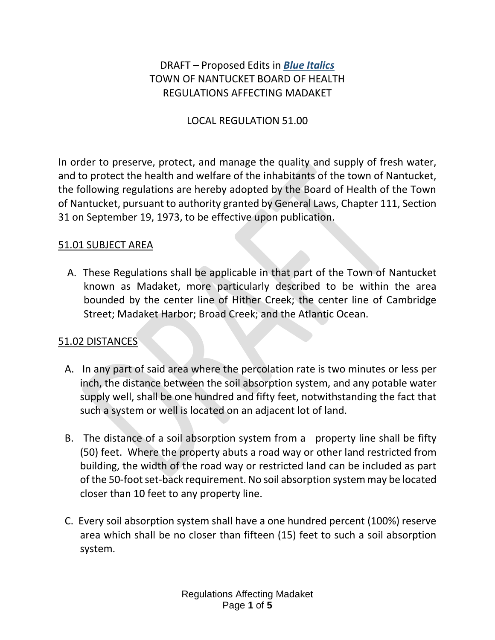# DRAFT – Proposed Edits in *Blue Italics* TOWN OF NANTUCKET BOARD OF HEALTH REGULATIONS AFFECTING MADAKET

# LOCAL REGULATION 51.00

In order to preserve, protect, and manage the quality and supply of fresh water, and to protect the health and welfare of the inhabitants of the town of Nantucket, the following regulations are hereby adopted by the Board of Health of the Town of Nantucket, pursuant to authority granted by General Laws, Chapter 111, Section 31 on September 19, 1973, to be effective upon publication.

## 51.01 SUBJECT AREA

 A. These Regulations shall be applicable in that part of the Town of Nantucket known as Madaket, more particularly described to be within the area bounded by the center line of Hither Creek; the center line of Cambridge Street; Madaket Harbor; Broad Creek; and the Atlantic Ocean.

## 51.02 DISTANCES

- A. In any part of said area where the percolation rate is two minutes or less per inch, the distance between the soil absorption system, and any potable water supply well, shall be one hundred and fifty feet, notwithstanding the fact that such a system or well is located on an adjacent lot of land.
- B. The distance of a soil absorption system from a property line shall be fifty (50) feet. Where the property abuts a road way or other land restricted from building, the width of the road way or restricted land can be included as part of the 50-foot set-back requirement. No soil absorption system may be located closer than 10 feet to any property line.
- C. Every soil absorption system shall have a one hundred percent (100%) reserve area which shall be no closer than fifteen (15) feet to such a soil absorption system.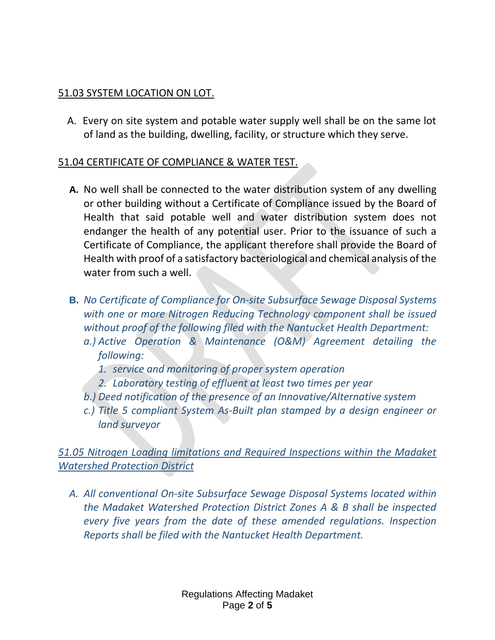## 51.03 SYSTEM LOCATION ON LOT.

 A. Every on site system and potable water supply well shall be on the same lot of land as the building, dwelling, facility, or structure which they serve.

# 51.04 CERTIFICATE OF COMPLIANCE & WATER TEST.

- **A.** No well shall be connected to the water distribution system of any dwelling or other building without a Certificate of Compliance issued by the Board of Health that said potable well and water distribution system does not endanger the health of any potential user. Prior to the issuance of such a Certificate of Compliance, the applicant therefore shall provide the Board of Health with proof of a satisfactory bacteriological and chemical analysis of the water from such a well.
- **B.** *No Certificate of Compliance for On-site Subsurface Sewage Disposal Systems with one or more Nitrogen Reducing Technology component shall be issued without proof of the following filed with the Nantucket Health Department:*
	- *a.) Active Operation & Maintenance (O&M) Agreement detailing the following:*
		- *1. service and monitoring of proper system operation*
		- *2. Laboratory testing of effluent at least two times per year*
	- *b.) Deed notification of the presence of an Innovative/Alternative system*
	- *c.) Title 5 compliant System As-Built plan stamped by a design engineer or land surveyor*

# *51.05 Nitrogen Loading limitations and Required Inspections within the Madaket Watershed Protection District*

*A. All conventional On-site Subsurface Sewage Disposal Systems located within the Madaket Watershed Protection District Zones A & B shall be inspected every five years from the date of these amended regulations. Inspection Reports shall be filed with the Nantucket Health Department.*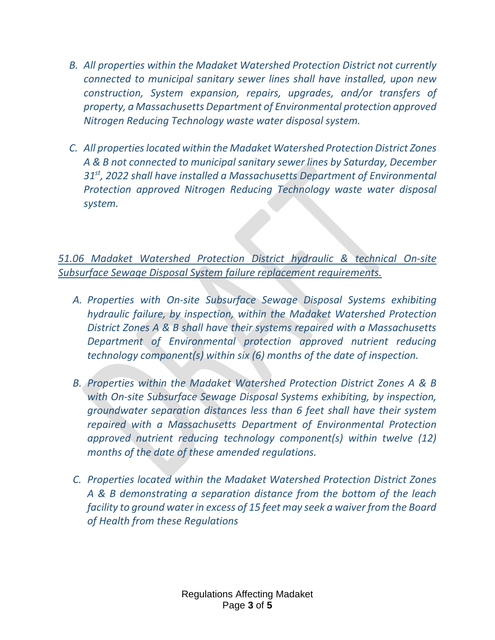- *B. All properties within the Madaket Watershed Protection District not currently connected to municipal sanitary sewer lines shall have installed, upon new construction, System expansion, repairs, upgrades, and/or transfers of property, a Massachusetts Department of Environmental protection approved Nitrogen Reducing Technology waste water disposal system.*
- *C. All properties located within the Madaket Watershed Protection District Zones A & B not connected to municipal sanitary sewer lines by Saturday, December 31st, 2022 shall have installed a Massachusetts Department of Environmental Protection approved Nitrogen Reducing Technology waste water disposal system.*

*51.06 Madaket Watershed Protection District hydraulic & technical On-site Subsurface Sewage Disposal System failure replacement requirements.*

- *A. Properties with On-site Subsurface Sewage Disposal Systems exhibiting hydraulic failure, by inspection, within the Madaket Watershed Protection District Zones A & B shall have their systems repaired with a Massachusetts*  **Department of Environmental protection approved nutrient reducing** *technology component(s) within six (6) months of the date of inspection.*
- *B. Properties within the Madaket Watershed Protection District Zones A & B with On-site Subsurface Sewage Disposal Systems exhibiting, by inspection, groundwater separation distances less than 6 feet shall have their system repaired with a Massachusetts Department of Environmental Protection approved nutrient reducing technology component(s) within twelve (12) months of the date of these amended regulations.*
- *C. Properties located within the Madaket Watershed Protection District Zones A & B demonstrating a separation distance from the bottom of the leach facility to ground water in excess of 15 feet may seek a waiver from the Board of Health from these Regulations*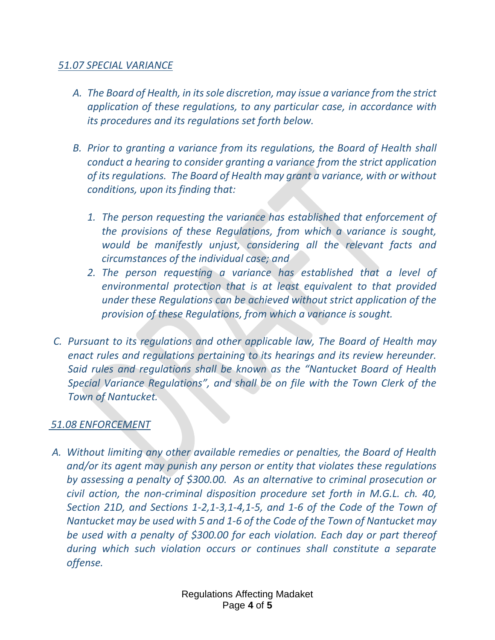#### *51.07 SPECIAL VARIANCE*

- *A. The Board of Health, in its sole discretion, may issue a variance from the strict application of these regulations, to any particular case, in accordance with its procedures and its regulations set forth below.*
- *B. Prior to granting a variance from its regulations, the Board of Health shall conduct a hearing to consider granting a variance from the strict application of its regulations. The Board of Health may grant a variance, with or without conditions, upon its finding that:*
	- *1. The person requesting the variance has established that enforcement of the provisions of these Regulations, from which a variance is sought, would be manifestly unjust, considering all the relevant facts and circumstances of the individual case; and*
	- *2. The person requesting a variance has established that a level of environmental protection that is at least equivalent to that provided under these Regulations can be achieved without strict application of the provision of these Regulations, from which a variance is sought.*
- *C. Pursuant to its regulations and other applicable law, The Board of Health may enact rules and regulations pertaining to its hearings and its review hereunder. Said rules and regulations shall be known as the "Nantucket Board of Health Special Variance Regulations", and shall be on file with the Town Clerk of the Town of Nantucket.*

#### *51.08 ENFORCEMENT*

*A. Without limiting any other available remedies or penalties, the Board of Health and/or its agent may punish any person or entity that violates these regulations by assessing a penalty of \$300.00. As an alternative to criminal prosecution or civil action, the non-criminal disposition procedure set forth in M.G.L. ch. 40, Section 21D, and Sections 1-2,1-3,1-4,1-5, and 1-6 of the Code of the Town of Nantucket may be used with 5 and 1-6 of the Code of the Town of Nantucket may be used with a penalty of \$300.00 for each violation. Each day or part thereof during which such violation occurs or continues shall constitute a separate offense.*